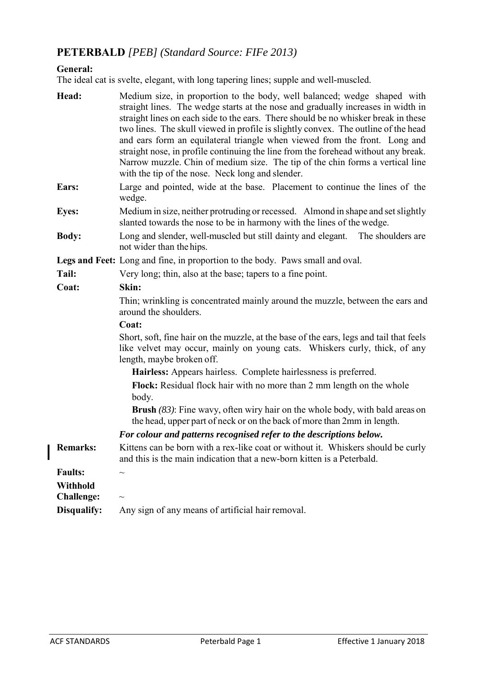# **PETERBALD** *[PEB] (Standard Source: FIFe 2013)*

## **General:**

The ideal cat is svelte, elegant, with long tapering lines; supple and well-muscled.

| Head:             | Medium size, in proportion to the body, well balanced; wedge shaped with<br>straight lines. The wedge starts at the nose and gradually increases in width in<br>straight lines on each side to the ears. There should be no whisker break in these<br>two lines. The skull viewed in profile is slightly convex. The outline of the head<br>and ears form an equilateral triangle when viewed from the front. Long and<br>straight nose, in profile continuing the line from the forehead without any break.<br>Narrow muzzle. Chin of medium size. The tip of the chin forms a vertical line<br>with the tip of the nose. Neck long and slender. |  |  |
|-------------------|---------------------------------------------------------------------------------------------------------------------------------------------------------------------------------------------------------------------------------------------------------------------------------------------------------------------------------------------------------------------------------------------------------------------------------------------------------------------------------------------------------------------------------------------------------------------------------------------------------------------------------------------------|--|--|
| Ears:             | Large and pointed, wide at the base. Placement to continue the lines of the<br>wedge.                                                                                                                                                                                                                                                                                                                                                                                                                                                                                                                                                             |  |  |
| <b>Eyes:</b>      | Medium in size, neither protruding or recessed. Almond in shape and set slightly<br>slanted towards the nose to be in harmony with the lines of the wedge.                                                                                                                                                                                                                                                                                                                                                                                                                                                                                        |  |  |
| <b>Body:</b>      | Long and slender, well-muscled but still dainty and elegant.<br>The shoulders are<br>not wider than the hips.                                                                                                                                                                                                                                                                                                                                                                                                                                                                                                                                     |  |  |
|                   | Legs and Feet: Long and fine, in proportion to the body. Paws small and oval.                                                                                                                                                                                                                                                                                                                                                                                                                                                                                                                                                                     |  |  |
| Tail:             | Very long; thin, also at the base; tapers to a fine point.                                                                                                                                                                                                                                                                                                                                                                                                                                                                                                                                                                                        |  |  |
| Coat:             | Skin:                                                                                                                                                                                                                                                                                                                                                                                                                                                                                                                                                                                                                                             |  |  |
|                   | Thin; wrinkling is concentrated mainly around the muzzle, between the ears and<br>around the shoulders.                                                                                                                                                                                                                                                                                                                                                                                                                                                                                                                                           |  |  |
|                   | Coat:                                                                                                                                                                                                                                                                                                                                                                                                                                                                                                                                                                                                                                             |  |  |
|                   | Short, soft, fine hair on the muzzle, at the base of the ears, legs and tail that feels<br>like velvet may occur, mainly on young cats. Whiskers curly, thick, of any<br>length, maybe broken off.                                                                                                                                                                                                                                                                                                                                                                                                                                                |  |  |
|                   | Hairless: Appears hairless. Complete hairlessness is preferred.                                                                                                                                                                                                                                                                                                                                                                                                                                                                                                                                                                                   |  |  |
|                   | Flock: Residual flock hair with no more than 2 mm length on the whole<br>body.                                                                                                                                                                                                                                                                                                                                                                                                                                                                                                                                                                    |  |  |
|                   | <b>Brush</b> $(83)$ : Fine wavy, often wiry hair on the whole body, with bald areas on<br>the head, upper part of neck or on the back of more than 2mm in length.                                                                                                                                                                                                                                                                                                                                                                                                                                                                                 |  |  |
|                   | For colour and patterns recognised refer to the descriptions below.                                                                                                                                                                                                                                                                                                                                                                                                                                                                                                                                                                               |  |  |
| <b>Remarks:</b>   | Kittens can be born with a rex-like coat or without it. Whiskers should be curly<br>and this is the main indication that a new-born kitten is a Peterbald.                                                                                                                                                                                                                                                                                                                                                                                                                                                                                        |  |  |
| <b>Faults:</b>    |                                                                                                                                                                                                                                                                                                                                                                                                                                                                                                                                                                                                                                                   |  |  |
| <b>Withhold</b>   |                                                                                                                                                                                                                                                                                                                                                                                                                                                                                                                                                                                                                                                   |  |  |
| <b>Challenge:</b> | $\sim$                                                                                                                                                                                                                                                                                                                                                                                                                                                                                                                                                                                                                                            |  |  |
| Disqualify:       | Any sign of any means of artificial hair removal.                                                                                                                                                                                                                                                                                                                                                                                                                                                                                                                                                                                                 |  |  |

 $\overline{\phantom{a}}$